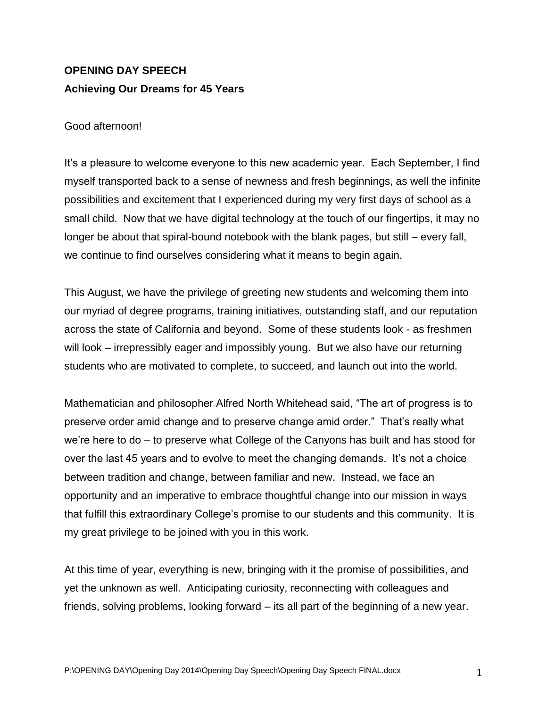# **OPENING DAY SPEECH Achieving Our Dreams for 45 Years**

## Good afternoon!

It's a pleasure to welcome everyone to this new academic year. Each September, I find myself transported back to a sense of newness and fresh beginnings, as well the infinite possibilities and excitement that I experienced during my very first days of school as a small child. Now that we have digital technology at the touch of our fingertips, it may no longer be about that spiral-bound notebook with the blank pages, but still – every fall, we continue to find ourselves considering what it means to begin again.

This August, we have the privilege of greeting new students and welcoming them into our myriad of degree programs, training initiatives, outstanding staff, and our reputation across the state of California and beyond. Some of these students look - as freshmen will look – irrepressibly eager and impossibly young. But we also have our returning students who are motivated to complete, to succeed, and launch out into the world.

Mathematician and philosopher Alfred North Whitehead said, "The art of progress is to preserve order amid change and to preserve change amid order." That's really what we're here to do – to preserve what College of the Canyons has built and has stood for over the last 45 years and to evolve to meet the changing demands. It's not a choice between tradition and change, between familiar and new. Instead, we face an opportunity and an imperative to embrace thoughtful change into our mission in ways that fulfill this extraordinary College's promise to our students and this community. It is my great privilege to be joined with you in this work.

At this time of year, everything is new, bringing with it the promise of possibilities, and yet the unknown as well. Anticipating curiosity, reconnecting with colleagues and friends, solving problems, looking forward – its all part of the beginning of a new year.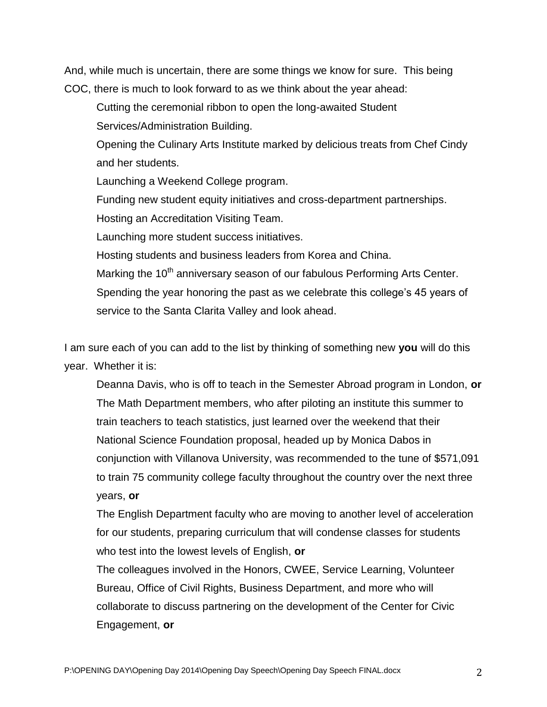And, while much is uncertain, there are some things we know for sure. This being COC, there is much to look forward to as we think about the year ahead:

Cutting the ceremonial ribbon to open the long-awaited Student Services/Administration Building.

Opening the Culinary Arts Institute marked by delicious treats from Chef Cindy and her students.

Launching a Weekend College program.

Funding new student equity initiatives and cross-department partnerships.

Hosting an Accreditation Visiting Team.

Launching more student success initiatives.

Hosting students and business leaders from Korea and China.

Marking the 10<sup>th</sup> anniversary season of our fabulous Performing Arts Center. Spending the year honoring the past as we celebrate this college's 45 years of service to the Santa Clarita Valley and look ahead.

I am sure each of you can add to the list by thinking of something new **you** will do this year. Whether it is:

Deanna Davis, who is off to teach in the Semester Abroad program in London, **or** The Math Department members, who after piloting an institute this summer to train teachers to teach statistics, just learned over the weekend that their National Science Foundation proposal, headed up by Monica Dabos in conjunction with Villanova University, was recommended to the tune of \$571,091 to train 75 community college faculty throughout the country over the next three years, **or**

The English Department faculty who are moving to another level of acceleration for our students, preparing curriculum that will condense classes for students who test into the lowest levels of English, **or**

The colleagues involved in the Honors, CWEE, Service Learning, Volunteer Bureau, Office of Civil Rights, Business Department, and more who will collaborate to discuss partnering on the development of the Center for Civic Engagement, **or**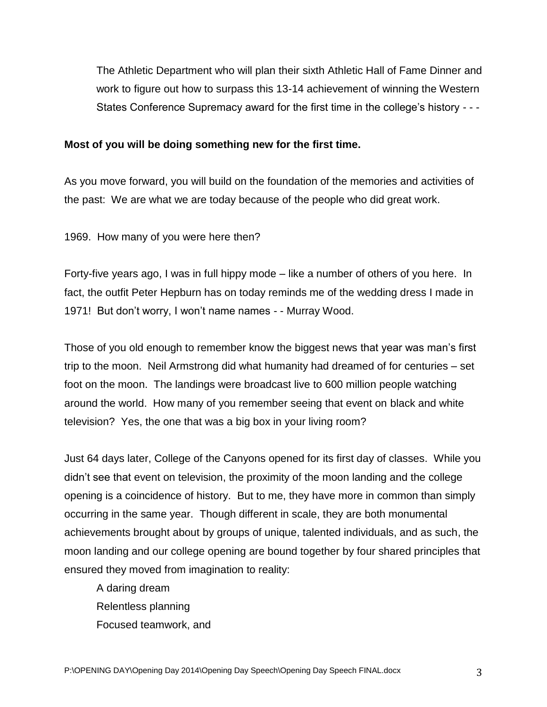The Athletic Department who will plan their sixth Athletic Hall of Fame Dinner and work to figure out how to surpass this 13-14 achievement of winning the Western States Conference Supremacy award for the first time in the college's history - - -

#### **Most of you will be doing something new for the first time.**

As you move forward, you will build on the foundation of the memories and activities of the past: We are what we are today because of the people who did great work.

1969. How many of you were here then?

Forty-five years ago, I was in full hippy mode – like a number of others of you here. In fact, the outfit Peter Hepburn has on today reminds me of the wedding dress I made in 1971! But don't worry, I won't name names - - Murray Wood.

Those of you old enough to remember know the biggest news that year was man's first trip to the moon. Neil Armstrong did what humanity had dreamed of for centuries – set foot on the moon. The landings were broadcast live to 600 million people watching around the world. How many of you remember seeing that event on black and white television? Yes, the one that was a big box in your living room?

Just 64 days later, College of the Canyons opened for its first day of classes. While you didn't see that event on television, the proximity of the moon landing and the college opening is a coincidence of history. But to me, they have more in common than simply occurring in the same year. Though different in scale, they are both monumental achievements brought about by groups of unique, talented individuals, and as such, the moon landing and our college opening are bound together by four shared principles that ensured they moved from imagination to reality:

A daring dream Relentless planning Focused teamwork, and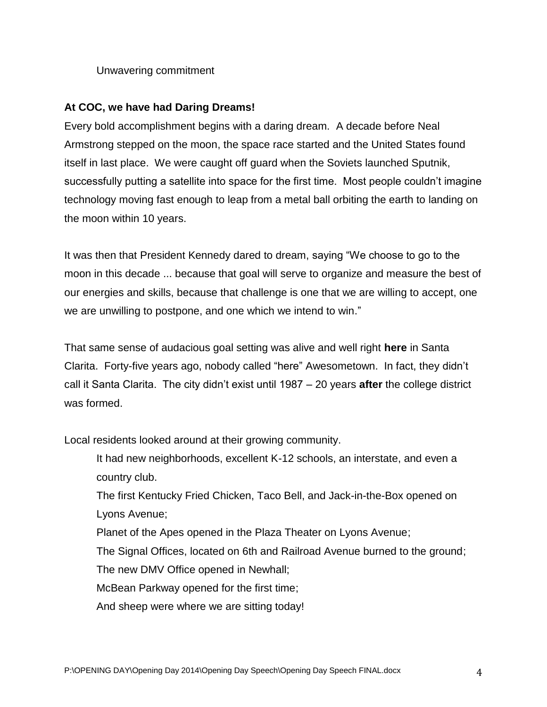Unwavering commitment

# **At COC, we have had Daring Dreams!**

Every bold accomplishment begins with a daring dream. A decade before Neal Armstrong stepped on the moon, the space race started and the United States found itself in last place. We were caught off guard when the Soviets launched Sputnik, successfully putting a satellite into space for the first time. Most people couldn't imagine technology moving fast enough to leap from a metal ball orbiting the earth to landing on the moon within 10 years.

It was then that President Kennedy dared to dream, saying "We choose to go to the moon in this decade ... because that goal will serve to organize and measure the best of our energies and skills, because that challenge is one that we are willing to accept, one we are unwilling to postpone, and one which we intend to win."

That same sense of audacious goal setting was alive and well right **here** in Santa Clarita. Forty-five years ago, nobody called "here" Awesometown. In fact, they didn't call it Santa Clarita. The city didn't exist until 1987 – 20 years **after** the college district was formed.

Local residents looked around at their growing community.

It had new neighborhoods, excellent K-12 schools, an interstate, and even a country club.

The first Kentucky Fried Chicken, Taco Bell, and Jack-in-the-Box opened on Lyons Avenue;

Planet of the Apes opened in the Plaza Theater on Lyons Avenue;

The Signal Offices, located on 6th and Railroad Avenue burned to the ground;

The new DMV Office opened in Newhall;

McBean Parkway opened for the first time;

And sheep were where we are sitting today!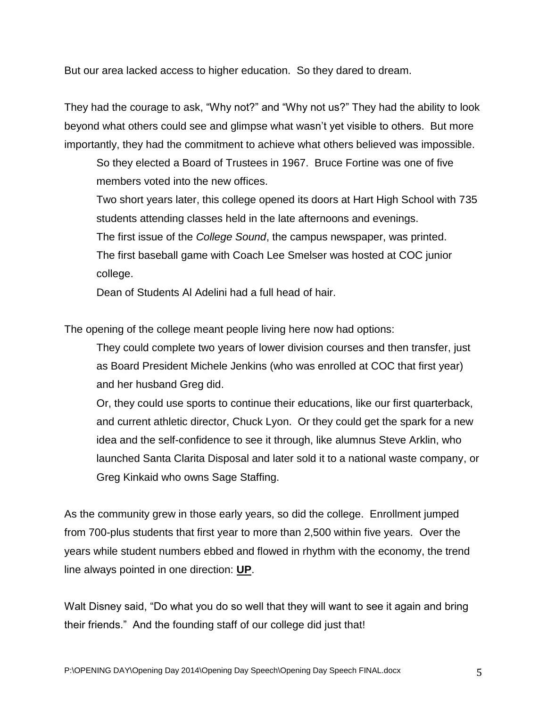But our area lacked access to higher education. So they dared to dream.

They had the courage to ask, "Why not?" and "Why not us?" They had the ability to look beyond what others could see and glimpse what wasn't yet visible to others. But more importantly, they had the commitment to achieve what others believed was impossible.

So they elected a Board of Trustees in 1967. Bruce Fortine was one of five members voted into the new offices.

Two short years later, this college opened its doors at Hart High School with 735 students attending classes held in the late afternoons and evenings.

The first issue of the *College Sound*, the campus newspaper, was printed.

The first baseball game with Coach Lee Smelser was hosted at COC junior college.

Dean of Students Al Adelini had a full head of hair.

The opening of the college meant people living here now had options:

They could complete two years of lower division courses and then transfer, just as Board President Michele Jenkins (who was enrolled at COC that first year) and her husband Greg did.

Or, they could use sports to continue their educations, like our first quarterback, and current athletic director, Chuck Lyon. Or they could get the spark for a new idea and the self-confidence to see it through, like alumnus Steve Arklin, who launched Santa Clarita Disposal and later sold it to a national waste company, or Greg Kinkaid who owns Sage Staffing.

As the community grew in those early years, so did the college. Enrollment jumped from 700-plus students that first year to more than 2,500 within five years. Over the years while student numbers ebbed and flowed in rhythm with the economy, the trend line always pointed in one direction: **UP**.

Walt Disney said, "Do what you do so well that they will want to see it again and bring their friends." And the founding staff of our college did just that!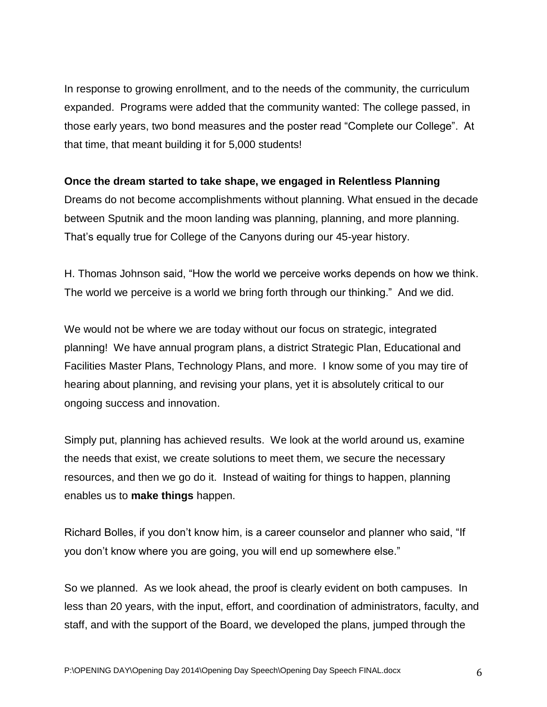In response to growing enrollment, and to the needs of the community, the curriculum expanded. Programs were added that the community wanted: The college passed, in those early years, two bond measures and the poster read "Complete our College". At that time, that meant building it for 5,000 students!

## **Once the dream started to take shape, we engaged in Relentless Planning**

Dreams do not become accomplishments without planning. What ensued in the decade between Sputnik and the moon landing was planning, planning, and more planning. That's equally true for College of the Canyons during our 45-year history.

H. Thomas Johnson said, "How the world we perceive works depends on how we think. The world we perceive is a world we bring forth through our thinking." And we did.

We would not be where we are today without our focus on strategic, integrated planning! We have annual program plans, a district Strategic Plan, Educational and Facilities Master Plans, Technology Plans, and more. I know some of you may tire of hearing about planning, and revising your plans, yet it is absolutely critical to our ongoing success and innovation.

Simply put, planning has achieved results. We look at the world around us, examine the needs that exist, we create solutions to meet them, we secure the necessary resources, and then we go do it. Instead of waiting for things to happen, planning enables us to **make things** happen.

Richard Bolles, if you don't know him, is a career counselor and planner who said, "If you don't know where you are going, you will end up somewhere else."

So we planned. As we look ahead, the proof is clearly evident on both campuses. In less than 20 years, with the input, effort, and coordination of administrators, faculty, and staff, and with the support of the Board, we developed the plans, jumped through the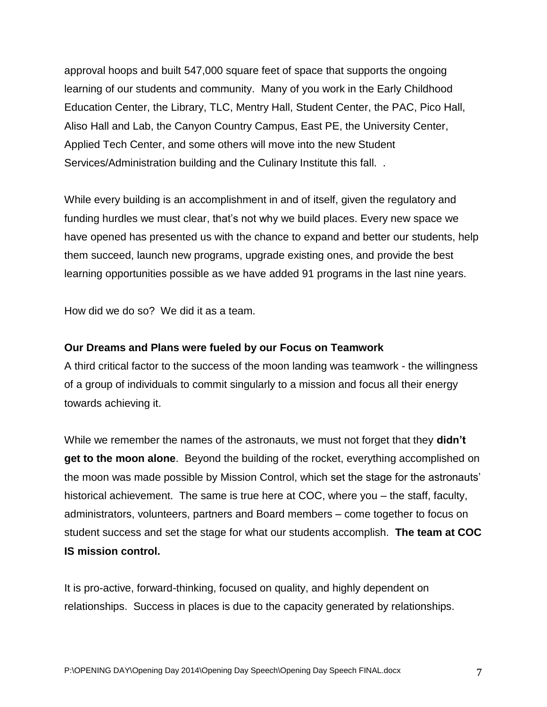approval hoops and built 547,000 square feet of space that supports the ongoing learning of our students and community. Many of you work in the Early Childhood Education Center, the Library, TLC, Mentry Hall, Student Center, the PAC, Pico Hall, Aliso Hall and Lab, the Canyon Country Campus, East PE, the University Center, Applied Tech Center, and some others will move into the new Student Services/Administration building and the Culinary Institute this fall. .

While every building is an accomplishment in and of itself, given the regulatory and funding hurdles we must clear, that's not why we build places. Every new space we have opened has presented us with the chance to expand and better our students, help them succeed, launch new programs, upgrade existing ones, and provide the best learning opportunities possible as we have added 91 programs in the last nine years.

How did we do so? We did it as a team.

#### **Our Dreams and Plans were fueled by our Focus on Teamwork**

A third critical factor to the success of the moon landing was teamwork - the willingness of a group of individuals to commit singularly to a mission and focus all their energy towards achieving it.

While we remember the names of the astronauts, we must not forget that they **didn't get to the moon alone**. Beyond the building of the rocket, everything accomplished on the moon was made possible by Mission Control, which set the stage for the astronauts' historical achievement. The same is true here at COC, where you – the staff, faculty, administrators, volunteers, partners and Board members – come together to focus on student success and set the stage for what our students accomplish. **The team at COC IS mission control.**

It is pro-active, forward-thinking, focused on quality, and highly dependent on relationships. Success in places is due to the capacity generated by relationships.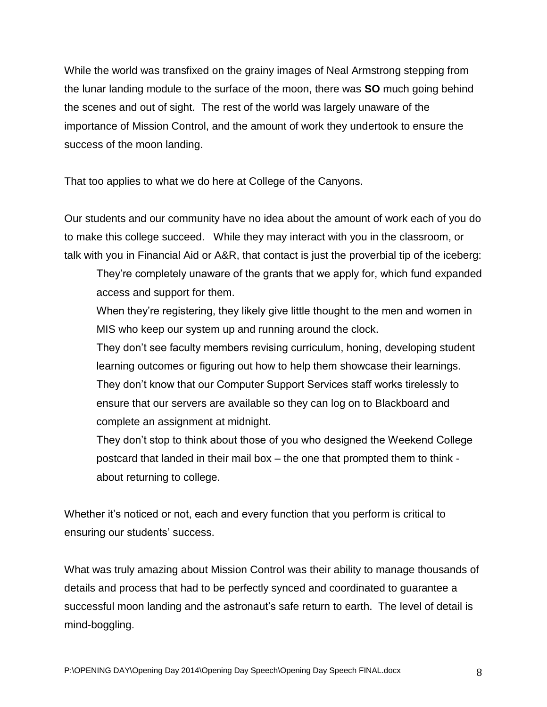While the world was transfixed on the grainy images of Neal Armstrong stepping from the lunar landing module to the surface of the moon, there was **SO** much going behind the scenes and out of sight. The rest of the world was largely unaware of the importance of Mission Control, and the amount of work they undertook to ensure the success of the moon landing.

That too applies to what we do here at College of the Canyons.

Our students and our community have no idea about the amount of work each of you do to make this college succeed. While they may interact with you in the classroom, or talk with you in Financial Aid or A&R, that contact is just the proverbial tip of the iceberg:

They're completely unaware of the grants that we apply for, which fund expanded access and support for them.

When they're registering, they likely give little thought to the men and women in MIS who keep our system up and running around the clock.

They don't see faculty members revising curriculum, honing, developing student learning outcomes or figuring out how to help them showcase their learnings. They don't know that our Computer Support Services staff works tirelessly to ensure that our servers are available so they can log on to Blackboard and complete an assignment at midnight.

They don't stop to think about those of you who designed the Weekend College postcard that landed in their mail box – the one that prompted them to think about returning to college.

Whether it's noticed or not, each and every function that you perform is critical to ensuring our students' success.

What was truly amazing about Mission Control was their ability to manage thousands of details and process that had to be perfectly synced and coordinated to guarantee a successful moon landing and the astronaut's safe return to earth. The level of detail is mind-boggling.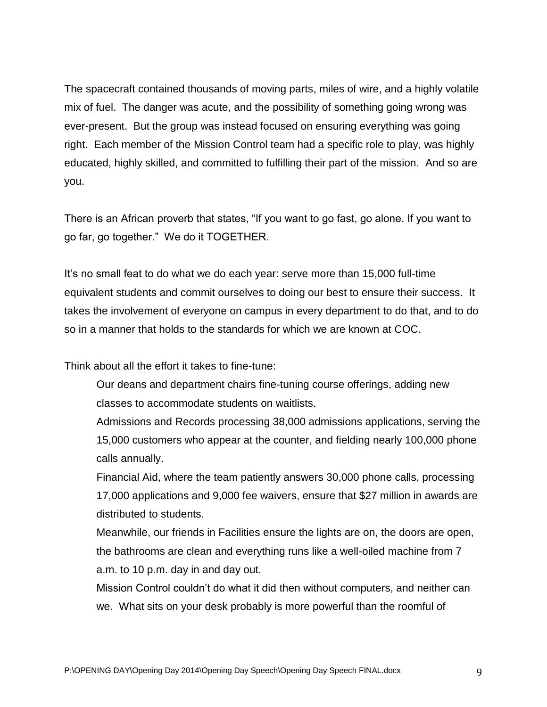The spacecraft contained thousands of moving parts, miles of wire, and a highly volatile mix of fuel. The danger was acute, and the possibility of something going wrong was ever-present. But the group was instead focused on ensuring everything was going right. Each member of the Mission Control team had a specific role to play, was highly educated, highly skilled, and committed to fulfilling their part of the mission. And so are you.

There is an African proverb that states, "If you want to go fast, go alone. If you want to go far, go together." We do it TOGETHER.

It's no small feat to do what we do each year: serve more than 15,000 full-time equivalent students and commit ourselves to doing our best to ensure their success. It takes the involvement of everyone on campus in every department to do that, and to do so in a manner that holds to the standards for which we are known at COC.

Think about all the effort it takes to fine-tune:

Our deans and department chairs fine-tuning course offerings, adding new classes to accommodate students on waitlists.

Admissions and Records processing 38,000 admissions applications, serving the 15,000 customers who appear at the counter, and fielding nearly 100,000 phone calls annually.

Financial Aid, where the team patiently answers 30,000 phone calls, processing 17,000 applications and 9,000 fee waivers, ensure that \$27 million in awards are distributed to students.

Meanwhile, our friends in Facilities ensure the lights are on, the doors are open, the bathrooms are clean and everything runs like a well-oiled machine from 7 a.m. to 10 p.m. day in and day out.

Mission Control couldn't do what it did then without computers, and neither can we. What sits on your desk probably is more powerful than the roomful of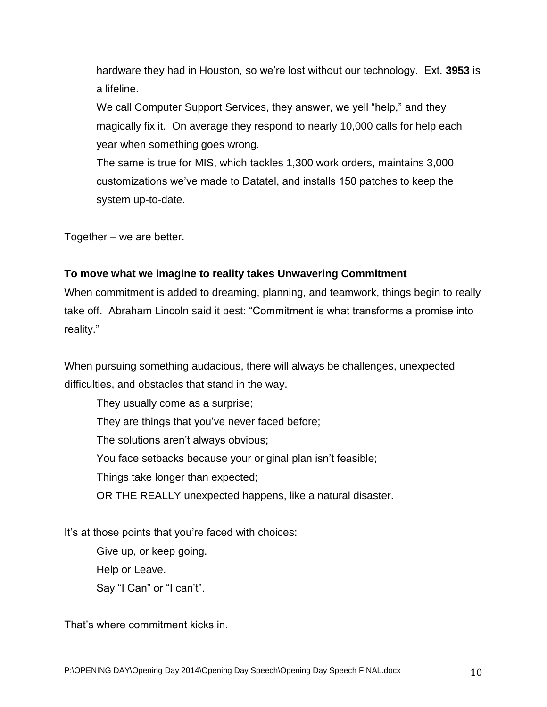hardware they had in Houston, so we're lost without our technology. Ext. **3953** is a lifeline.

We call Computer Support Services, they answer, we yell "help," and they magically fix it. On average they respond to nearly 10,000 calls for help each year when something goes wrong.

The same is true for MIS, which tackles 1,300 work orders, maintains 3,000 customizations we've made to Datatel, and installs 150 patches to keep the system up-to-date.

Together – we are better.

## **To move what we imagine to reality takes Unwavering Commitment**

When commitment is added to dreaming, planning, and teamwork, things begin to really take off. Abraham Lincoln said it best: "Commitment is what transforms a promise into reality."

When pursuing something audacious, there will always be challenges, unexpected difficulties, and obstacles that stand in the way.

They usually come as a surprise; They are things that you've never faced before; The solutions aren't always obvious; You face setbacks because your original plan isn't feasible; Things take longer than expected; OR THE REALLY unexpected happens, like a natural disaster.

It's at those points that you're faced with choices:

Give up, or keep going. Help or Leave. Say "I Can" or "I can't".

That's where commitment kicks in.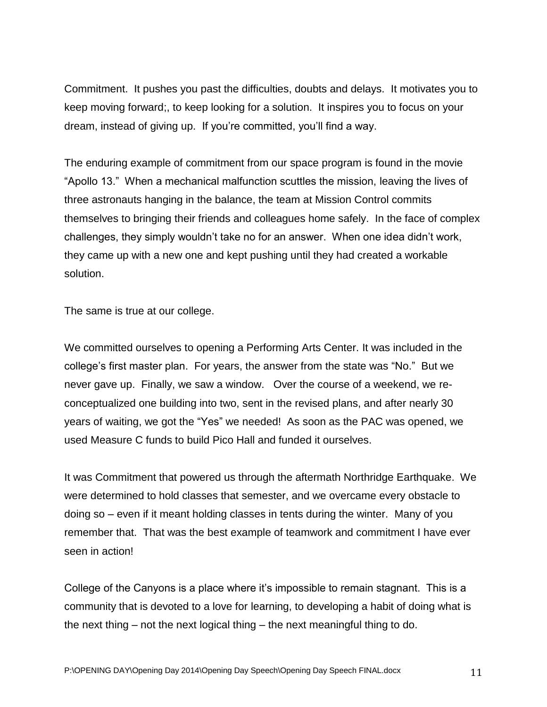Commitment. It pushes you past the difficulties, doubts and delays. It motivates you to keep moving forward;, to keep looking for a solution. It inspires you to focus on your dream, instead of giving up. If you're committed, you'll find a way.

The enduring example of commitment from our space program is found in the movie "Apollo 13." When a mechanical malfunction scuttles the mission, leaving the lives of three astronauts hanging in the balance, the team at Mission Control commits themselves to bringing their friends and colleagues home safely. In the face of complex challenges, they simply wouldn't take no for an answer. When one idea didn't work, they came up with a new one and kept pushing until they had created a workable solution.

The same is true at our college.

We committed ourselves to opening a Performing Arts Center. It was included in the college's first master plan. For years, the answer from the state was "No." But we never gave up. Finally, we saw a window. Over the course of a weekend, we reconceptualized one building into two, sent in the revised plans, and after nearly 30 years of waiting, we got the "Yes" we needed! As soon as the PAC was opened, we used Measure C funds to build Pico Hall and funded it ourselves.

It was Commitment that powered us through the aftermath Northridge Earthquake. We were determined to hold classes that semester, and we overcame every obstacle to doing so – even if it meant holding classes in tents during the winter. Many of you remember that. That was the best example of teamwork and commitment I have ever seen in action!

College of the Canyons is a place where it's impossible to remain stagnant. This is a community that is devoted to a love for learning, to developing a habit of doing what is the next thing – not the next logical thing – the next meaningful thing to do.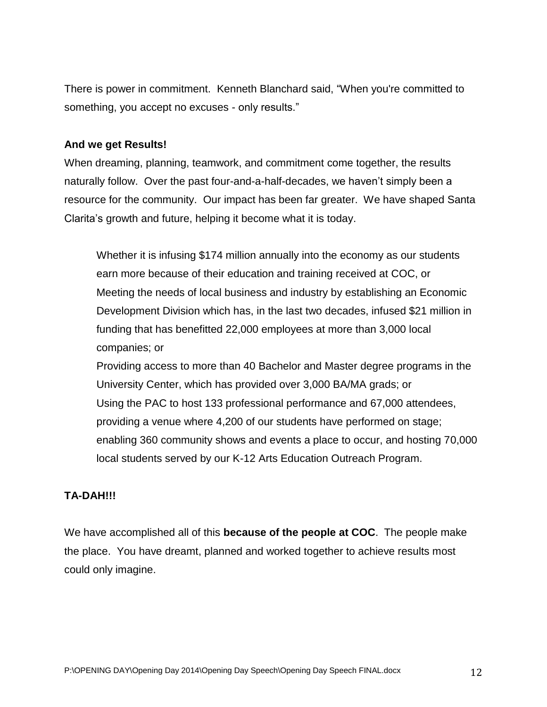There is power in commitment. Kenneth Blanchard said, "When you're committed to something, you accept no excuses - only results."

#### **And we get Results!**

When dreaming, planning, teamwork, and commitment come together, the results naturally follow. Over the past four-and-a-half-decades, we haven't simply been a resource for the community. Our impact has been far greater. We have shaped Santa Clarita's growth and future, helping it become what it is today.

Whether it is infusing \$174 million annually into the economy as our students earn more because of their education and training received at COC, or Meeting the needs of local business and industry by establishing an Economic Development Division which has, in the last two decades, infused \$21 million in funding that has benefitted 22,000 employees at more than 3,000 local companies; or

Providing access to more than 40 Bachelor and Master degree programs in the University Center, which has provided over 3,000 BA/MA grads; or Using the PAC to host 133 professional performance and 67,000 attendees, providing a venue where 4,200 of our students have performed on stage; enabling 360 community shows and events a place to occur, and hosting 70,000 local students served by our K-12 Arts Education Outreach Program.

## **TA-DAH!!!**

We have accomplished all of this **because of the people at COC**. The people make the place. You have dreamt, planned and worked together to achieve results most could only imagine.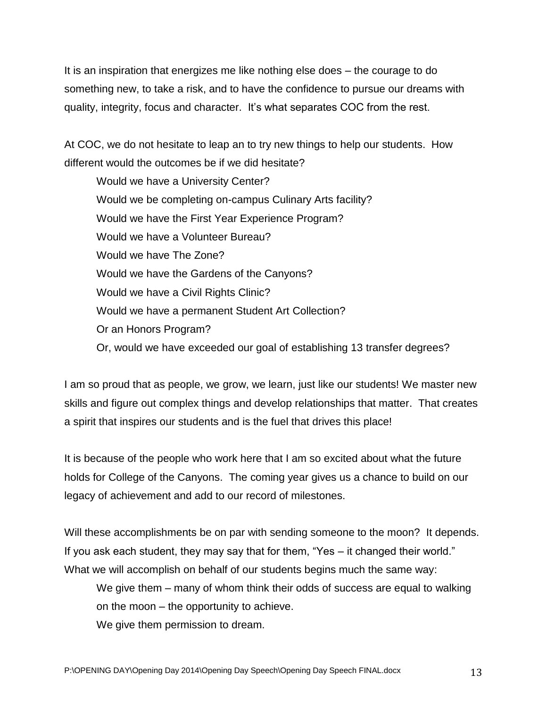It is an inspiration that energizes me like nothing else does – the courage to do something new, to take a risk, and to have the confidence to pursue our dreams with quality, integrity, focus and character. It's what separates COC from the rest.

At COC, we do not hesitate to leap an to try new things to help our students. How different would the outcomes be if we did hesitate?

Would we have a University Center? Would we be completing on-campus Culinary Arts facility? Would we have the First Year Experience Program? Would we have a Volunteer Bureau? Would we have The Zone? Would we have the Gardens of the Canyons? Would we have a Civil Rights Clinic? Would we have a permanent Student Art Collection? Or an Honors Program? Or, would we have exceeded our goal of establishing 13 transfer degrees?

I am so proud that as people, we grow, we learn, just like our students! We master new skills and figure out complex things and develop relationships that matter. That creates a spirit that inspires our students and is the fuel that drives this place!

It is because of the people who work here that I am so excited about what the future holds for College of the Canyons. The coming year gives us a chance to build on our legacy of achievement and add to our record of milestones.

Will these accomplishments be on par with sending someone to the moon? It depends. If you ask each student, they may say that for them, "Yes – it changed their world." What we will accomplish on behalf of our students begins much the same way:

We give them – many of whom think their odds of success are equal to walking on the moon – the opportunity to achieve.

We give them permission to dream.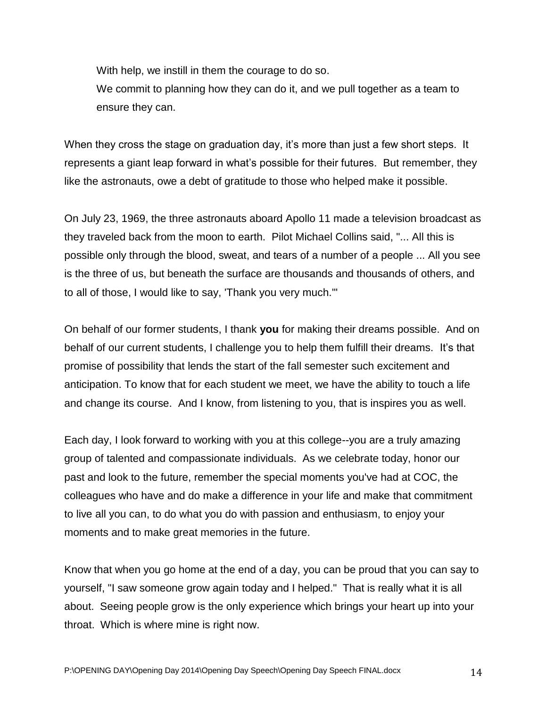With help, we instill in them the courage to do so.

We commit to planning how they can do it, and we pull together as a team to ensure they can.

When they cross the stage on graduation day, it's more than just a few short steps. It represents a giant leap forward in what's possible for their futures. But remember, they like the astronauts, owe a debt of gratitude to those who helped make it possible.

On July 23, 1969, the three astronauts aboard Apollo 11 made a television broadcast as they traveled back from the moon to earth. Pilot Michael Collins said, "... All this is possible only through the blood, sweat, and tears of a number of a people ... All you see is the three of us, but beneath the surface are thousands and thousands of others, and to all of those, I would like to say, 'Thank you very much.'"

On behalf of our former students, I thank **you** for making their dreams possible. And on behalf of our current students, I challenge you to help them fulfill their dreams. It's that promise of possibility that lends the start of the fall semester such excitement and anticipation. To know that for each student we meet, we have the ability to touch a life and change its course. And I know, from listening to you, that is inspires you as well.

Each day, I look forward to working with you at this college--you are a truly amazing group of talented and compassionate individuals. As we celebrate today, honor our past and look to the future, remember the special moments you've had at COC, the colleagues who have and do make a difference in your life and make that commitment to live all you can, to do what you do with passion and enthusiasm, to enjoy your moments and to make great memories in the future.

Know that when you go home at the end of a day, you can be proud that you can say to yourself, "I saw someone grow again today and I helped." That is really what it is all about. Seeing people grow is the only experience which brings your heart up into your throat. Which is where mine is right now.